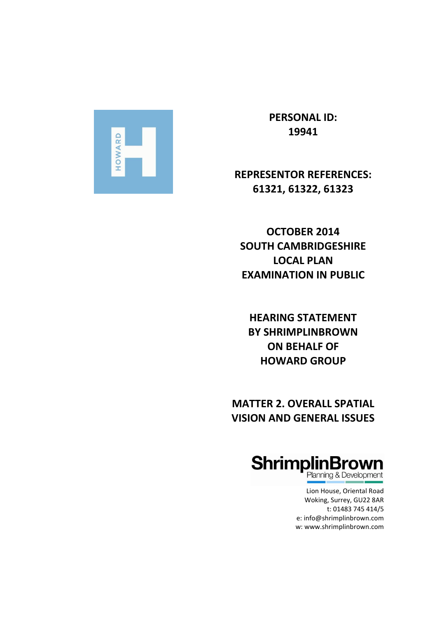

**PERSONAL ID: 19941**

# **REPRESENTOR REFERENCES: 61321, 61322, 61323**

**OCTOBER 2014 SOUTH CAMBRIDGESHIRE LOCAL PLAN EXAMINATION IN PUBLIC** 

**HEARING STATEMENT BY SHRIMPLINBROWN ON BEHALF OF HOWARD GROUP**

**MATTER 2. OVERALL SPATIAL VISION AND GENERAL ISSUES**



Woking, Surrey, GU22 8AR t: 01483 745 414/5 e: [info@shrimplinbrown.com](mailto:info@shrimplinbrown.com) w: www.shrimplinbrown.com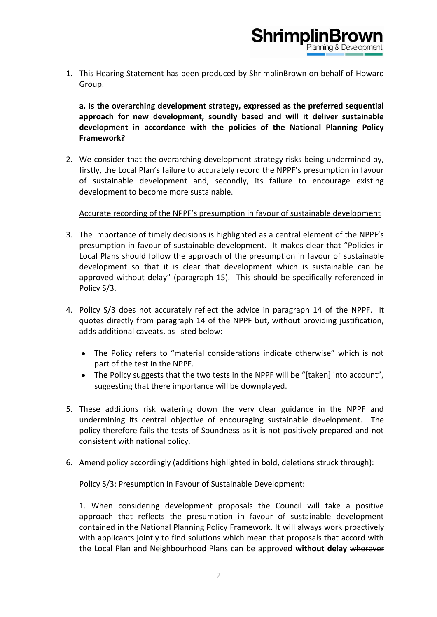1. This Hearing Statement has been produced by ShrimplinBrown on behalf of Howard Group.

**ShrimplinBrd** 

**a. Is the overarching development strategy, expressed as the preferred sequential approach for new development, soundly based and will it deliver sustainable development in accordance with the policies of the National Planning Policy Framework?**

2. We consider that the overarching development strategy risks being undermined by, firstly, the Local Plan's failure to accurately record the NPPF's presumption in favour of sustainable development and, secondly, its failure to encourage existing development to become more sustainable.

# Accurate recording of the NPPF's presumption in favour of sustainable development

- 3. The importance of timely decisions is highlighted as a central element of the NPPF's presumption in favour of sustainable development. It makes clear that "Policies in Local Plans should follow the approach of the presumption in favour of sustainable development so that it is clear that development which is sustainable can be approved without delay" (paragraph 15). This should be specifically referenced in Policy S/3.
- 4. Policy S/3 does not accurately reflect the advice in paragraph 14 of the NPPF. It quotes directly from paragraph 14 of the NPPF but, without providing justification, adds additional caveats, as listed below:
	- The Policy refers to "material considerations indicate otherwise" which is not part of the test in the NPPF.
	- The Policy suggests that the two tests in the NPPF will be "[taken] into account", suggesting that there importance will be downplayed.
- 5. These additions risk watering down the very clear guidance in the NPPF and undermining its central objective of encouraging sustainable development. The policy therefore fails the tests of Soundness as it is not positively prepared and not consistent with national policy.
- 6. Amend policy accordingly (additions highlighted in bold, deletions struck through):

Policy S/3: Presumption in Favour of Sustainable Development:

1. When considering development proposals the Council will take a positive approach that reflects the presumption in favour of sustainable development contained in the National Planning Policy Framework. It will always work proactively with applicants jointly to find solutions which mean that proposals that accord with the Local Plan and Neighbourhood Plans can be approved **without delay** wherever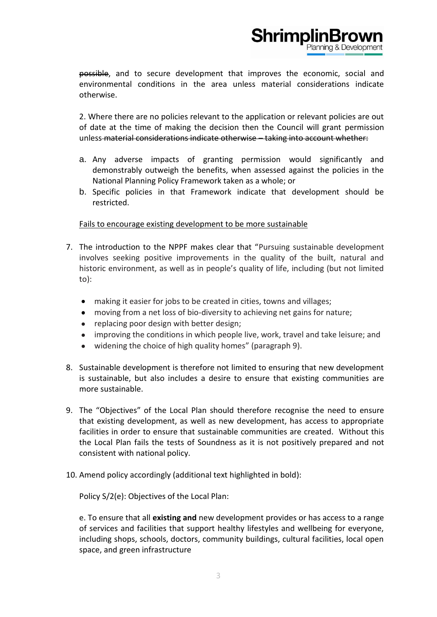possible, and to secure development that improves the economic, social and environmental conditions in the area unless material considerations indicate otherwise.

**ShrimplinBr** 

2. Where there are no policies relevant to the application or relevant policies are out of date at the time of making the decision then the Council will grant permission unless material considerations indicate otherwise – taking into account whether:

- a. Any adverse impacts of granting permission would significantly and demonstrably outweigh the benefits, when assessed against the policies in the National Planning Policy Framework taken as a whole; or
- b. Specific policies in that Framework indicate that development should be restricted.

Fails to encourage existing development to be more sustainable

- 7. The introduction to the NPPF makes clear that "Pursuing sustainable development involves seeking positive improvements in the quality of the built, natural and historic environment, as well as in people's quality of life, including (but not limited to):
	- making it easier for jobs to be created in cities, towns and villages;  $\bullet$
	- moving from a net loss of bio-diversity to achieving net gains for nature;
	- replacing poor design with better design;
	- improving the conditions in which people live, work, travel and take leisure; and  $\bullet$
	- widening the choice of high quality homes" (paragraph 9).  $\bullet$
- 8. Sustainable development is therefore not limited to ensuring that new development is sustainable, but also includes a desire to ensure that existing communities are more sustainable.
- 9. The "Objectives" of the Local Plan should therefore recognise the need to ensure that existing development, as well as new development, has access to appropriate facilities in order to ensure that sustainable communities are created. Without this the Local Plan fails the tests of Soundness as it is not positively prepared and not consistent with national policy.
- 10. Amend policy accordingly (additional text highlighted in bold):

Policy S/2(e): Objectives of the Local Plan:

e. To ensure that all **existing and** new development provides or has access to a range of services and facilities that support healthy lifestyles and wellbeing for everyone, including shops, schools, doctors, community buildings, cultural facilities, local open space, and green infrastructure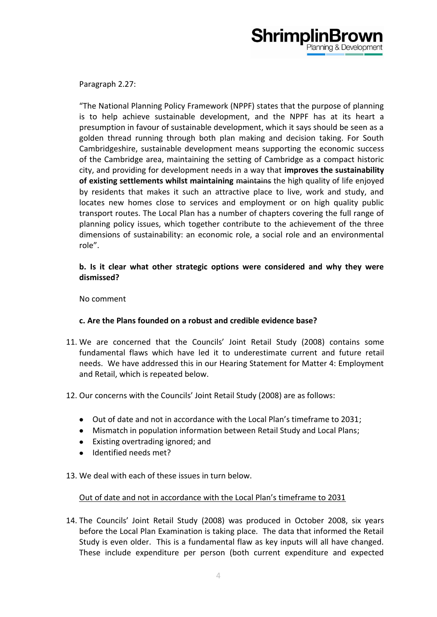

Paragraph 2.27:

"The National Planning Policy Framework (NPPF) states that the purpose of planning is to help achieve sustainable development, and the NPPF has at its heart a presumption in favour of sustainable development, which it says should be seen as a golden thread running through both plan making and decision taking. For South Cambridgeshire, sustainable development means supporting the economic success of the Cambridge area, maintaining the setting of Cambridge as a compact historic city, and providing for development needs in a way that **improves the sustainability**  of existing settlements whilst maintaining maintains the high quality of life enjoyed by residents that makes it such an attractive place to live, work and study, and locates new homes close to services and employment or on high quality public transport routes. The Local Plan has a number of chapters covering the full range of planning policy issues, which together contribute to the achievement of the three dimensions of sustainability: an economic role, a social role and an environmental role".

# **b. Is it clear what other strategic options were considered and why they were dismissed?**

No comment

# **c. Are the Plans founded on a robust and credible evidence base?**

- 11. We are concerned that the Councils' Joint Retail Study (2008) contains some fundamental flaws which have led it to underestimate current and future retail needs. We have addressed this in our Hearing Statement for Matter 4: Employment and Retail, which is repeated below.
- 12. Our concerns with the Councils' Joint Retail Study (2008) are as follows:
	- Out of date and not in accordance with the Local Plan's timeframe to 2031;
	- Mismatch in population information between Retail Study and Local Plans;
	- Existing overtrading ignored; and
	- Identified needs met?  $\bullet$
- 13. We deal with each of these issues in turn below.

# Out of date and not in accordance with the Local Plan's timeframe to 2031

14. The Councils' Joint Retail Study (2008) was produced in October 2008, six years before the Local Plan Examination is taking place. The data that informed the Retail Study is even older. This is a fundamental flaw as key inputs will all have changed. These include expenditure per person (both current expenditure and expected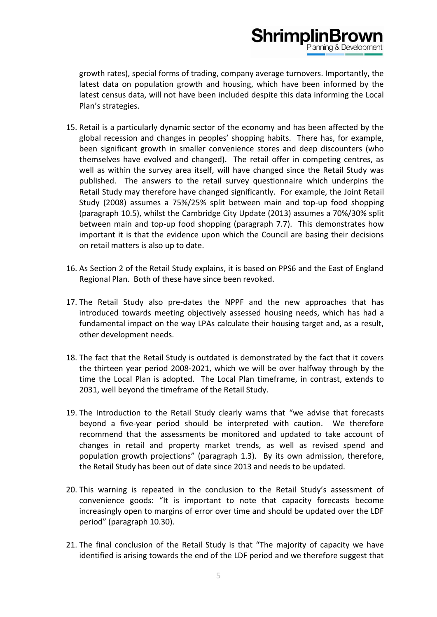growth rates), special forms of trading, company average turnovers. Importantly, the latest data on population growth and housing, which have been informed by the latest census data, will not have been included despite this data informing the Local Plan's strategies.

**ShrimplinBr** 

- 15. Retail is a particularly dynamic sector of the economy and has been affected by the global recession and changes in peoples' shopping habits. There has, for example, been significant growth in smaller convenience stores and deep discounters (who themselves have evolved and changed). The retail offer in competing centres, as well as within the survey area itself, will have changed since the Retail Study was published. The answers to the retail survey questionnaire which underpins the Retail Study may therefore have changed significantly. For example, the Joint Retail Study (2008) assumes a 75%/25% split between main and top-up food shopping (paragraph 10.5), whilst the Cambridge City Update (2013) assumes a 70%/30% split between main and top-up food shopping (paragraph 7.7). This demonstrates how important it is that the evidence upon which the Council are basing their decisions on retail matters is also up to date.
- 16. As Section 2 of the Retail Study explains, it is based on PPS6 and the East of England Regional Plan. Both of these have since been revoked.
- 17. The Retail Study also pre-dates the NPPF and the new approaches that has introduced towards meeting objectively assessed housing needs, which has had a fundamental impact on the way LPAs calculate their housing target and, as a result, other development needs.
- 18. The fact that the Retail Study is outdated is demonstrated by the fact that it covers the thirteen year period 2008-2021, which we will be over halfway through by the time the Local Plan is adopted. The Local Plan timeframe, in contrast, extends to 2031, well beyond the timeframe of the Retail Study.
- 19. The Introduction to the Retail Study clearly warns that "we advise that forecasts beyond a five-year period should be interpreted with caution. We therefore recommend that the assessments be monitored and updated to take account of changes in retail and property market trends, as well as revised spend and population growth projections" (paragraph 1.3). By its own admission, therefore, the Retail Study has been out of date since 2013 and needs to be updated.
- 20. This warning is repeated in the conclusion to the Retail Study's assessment of convenience goods: "It is important to note that capacity forecasts become increasingly open to margins of error over time and should be updated over the LDF period" (paragraph 10.30).
- 21. The final conclusion of the Retail Study is that "The majority of capacity we have identified is arising towards the end of the LDF period and we therefore suggest that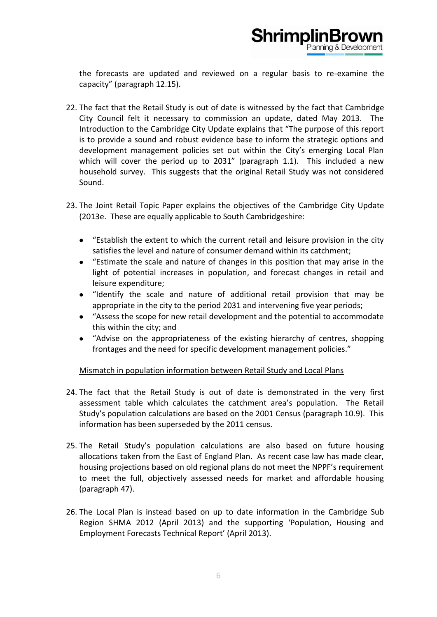

the forecasts are updated and reviewed on a regular basis to re-examine the capacity" (paragraph 12.15).

- 22. The fact that the Retail Study is out of date is witnessed by the fact that Cambridge City Council felt it necessary to commission an update, dated May 2013. The Introduction to the Cambridge City Update explains that "The purpose of this report is to provide a sound and robust evidence base to inform the strategic options and development management policies set out within the City's emerging Local Plan which will cover the period up to 2031" (paragraph 1.1). This included a new household survey. This suggests that the original Retail Study was not considered Sound.
- 23. The Joint Retail Topic Paper explains the objectives of the Cambridge City Update (2013e. These are equally applicable to South Cambridgeshire:
	- "Establish the extent to which the current retail and leisure provision in the city satisfies the level and nature of consumer demand within its catchment;
	- "Estimate the scale and nature of changes in this position that may arise in the  $\bullet$ light of potential increases in population, and forecast changes in retail and leisure expenditure;
	- "Identify the scale and nature of additional retail provision that may be  $\bullet$ appropriate in the city to the period 2031 and intervening five year periods;
	- "Assess the scope for new retail development and the potential to accommodate this within the city; and
	- "Advise on the appropriateness of the existing hierarchy of centres, shopping frontages and the need for specific development management policies."

# Mismatch in population information between Retail Study and Local Plans

- 24. The fact that the Retail Study is out of date is demonstrated in the very first assessment table which calculates the catchment area's population. The Retail Study's population calculations are based on the 2001 Census (paragraph 10.9). This information has been superseded by the 2011 census.
- 25. The Retail Study's population calculations are also based on future housing allocations taken from the East of England Plan. As recent case law has made clear, housing projections based on old regional plans do not meet the NPPF's requirement to meet the full, objectively assessed needs for market and affordable housing (paragraph 47).
- 26. The Local Plan is instead based on up to date information in the Cambridge Sub Region SHMA 2012 (April 2013) and the supporting 'Population, Housing and Employment Forecasts Technical Report' (April 2013).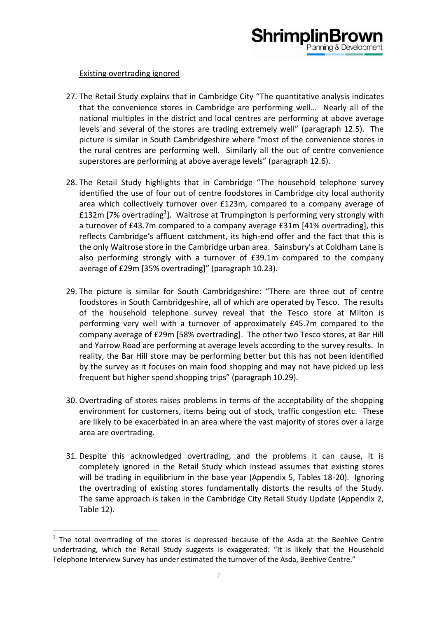# Shrimplin

# Existing overtrading ignored

**.** 

- 27. The Retail Study explains that in Cambridge City "The quantitative analysis indicates that the convenience stores in Cambridge are performing well… Nearly all of the national multiples in the district and local centres are performing at above average levels and several of the stores are trading extremely well" (paragraph 12.5). The picture is similar in South Cambridgeshire where "most of the convenience stores in the rural centres are performing well. Similarly all the out of centre convenience superstores are performing at above average levels" (paragraph 12.6).
- 28. The Retail Study highlights that in Cambridge "The household telephone survey identified the use of four out of centre foodstores in Cambridge city local authority area which collectively turnover over £123m, compared to a company average of £132m [7% overtrading<sup>1</sup>]. Waitrose at Trumpington is performing very strongly with a turnover of £43.7m compared to a company average £31m [41% overtrading], this reflects Cambridge's affluent catchment, its high-end offer and the fact that this is the only Waitrose store in the Cambridge urban area. Sainsbury's at Coldham Lane is also performing strongly with a turnover of £39.1m compared to the company average of £29m [35% overtrading]" (paragraph 10.23).
- 29. The picture is similar for South Cambridgeshire: "There are three out of centre foodstores in South Cambridgeshire, all of which are operated by Tesco. The results of the household telephone survey reveal that the Tesco store at Milton is performing very well with a turnover of approximately £45.7m compared to the company average of £29m [58% overtrading]. The other two Tesco stores, at Bar Hill and Yarrow Road are performing at average levels according to the survey results. In reality, the Bar Hill store may be performing better but this has not been identified by the survey as it focuses on main food shopping and may not have picked up less frequent but higher spend shopping trips" (paragraph 10.29).
- 30. Overtrading of stores raises problems in terms of the acceptability of the shopping environment for customers, items being out of stock, traffic congestion etc. These are likely to be exacerbated in an area where the vast majority of stores over a large area are overtrading.
- 31. Despite this acknowledged overtrading, and the problems it can cause, it is completely ignored in the Retail Study which instead assumes that existing stores will be trading in equilibrium in the base year (Appendix 5, Tables 18-20). Ignoring the overtrading of existing stores fundamentally distorts the results of the Study. The same approach is taken in the Cambridge City Retail Study Update (Appendix 2, Table 12).

 $1$  The total overtrading of the stores is depressed because of the Asda at the Beehive Centre undertrading, which the Retail Study suggests is exaggerated: "It is likely that the Household Telephone Interview Survey has under estimated the turnover of the Asda, Beehive Centre."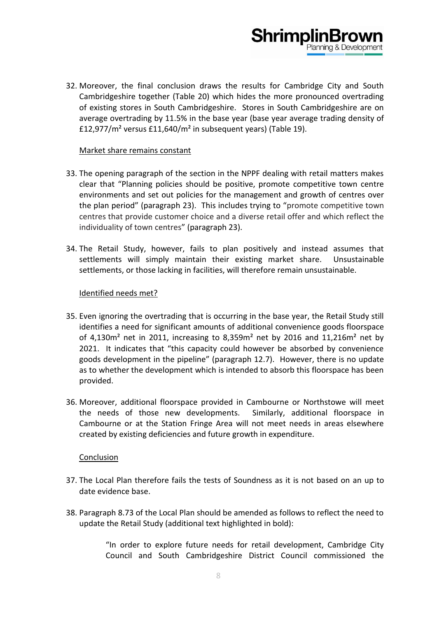32. Moreover, the final conclusion draws the results for Cambridge City and South Cambridgeshire together (Table 20) which hides the more pronounced overtrading of existing stores in South Cambridgeshire. Stores in South Cambridgeshire are on average overtrading by 11.5% in the base year (base year average trading density of £12,977/m² versus £11,640/m² in subsequent years) (Table 19).

**ShrimplinBr** 

### Market share remains constant

- 33. The opening paragraph of the section in the NPPF dealing with retail matters makes clear that "Planning policies should be positive, promote competitive town centre environments and set out policies for the management and growth of centres over the plan period" (paragraph 23). This includes trying to "promote competitive town centres that provide customer choice and a diverse retail offer and which reflect the individuality of town centres" (paragraph 23).
- 34. The Retail Study, however, fails to plan positively and instead assumes that settlements will simply maintain their existing market share. Unsustainable settlements, or those lacking in facilities, will therefore remain unsustainable.

### Identified needs met?

- 35. Even ignoring the overtrading that is occurring in the base year, the Retail Study still identifies a need for significant amounts of additional convenience goods floorspace of 4,130 $m<sup>2</sup>$  net in 2011, increasing to 8,359 $m<sup>2</sup>$  net by 2016 and 11,216 $m<sup>2</sup>$  net by 2021. It indicates that "this capacity could however be absorbed by convenience goods development in the pipeline" (paragraph 12.7). However, there is no update as to whether the development which is intended to absorb this floorspace has been provided.
- 36. Moreover, additional floorspace provided in Cambourne or Northstowe will meet the needs of those new developments. Similarly, additional floorspace in Cambourne or at the Station Fringe Area will not meet needs in areas elsewhere created by existing deficiencies and future growth in expenditure.

#### Conclusion

- 37. The Local Plan therefore fails the tests of Soundness as it is not based on an up to date evidence base.
- 38. Paragraph 8.73 of the Local Plan should be amended as follows to reflect the need to update the Retail Study (additional text highlighted in bold):

"In order to explore future needs for retail development, Cambridge City Council and South Cambridgeshire District Council commissioned the